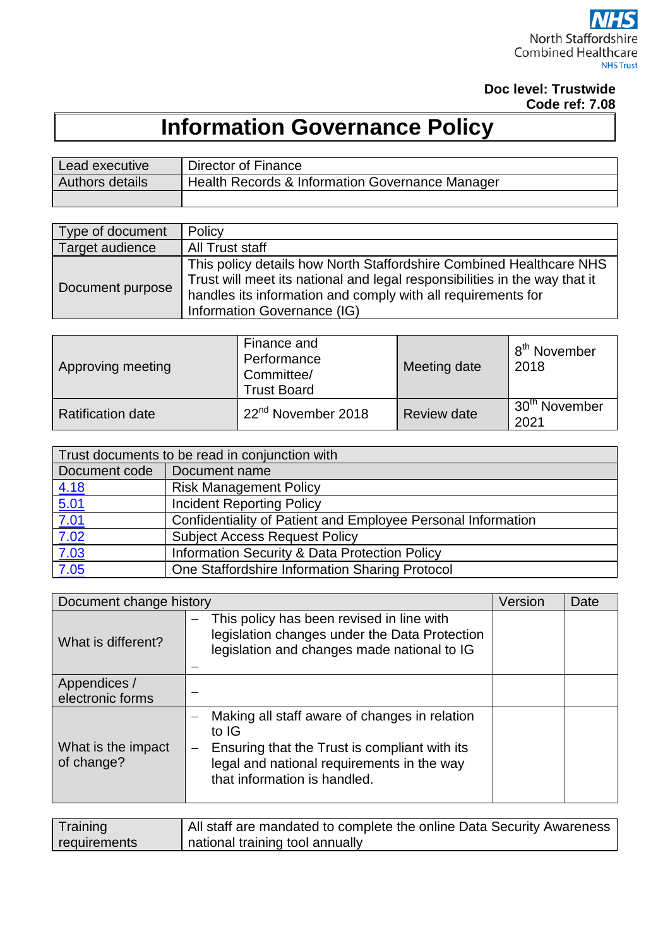## **Doc level: Trustwide Code ref: 7.08**

# **Information Governance Policy**

| Lead executive  | Director of Finance                                        |
|-----------------|------------------------------------------------------------|
| Authors details | <b>Health Records &amp; Information Governance Manager</b> |
|                 |                                                            |

| Type of document | Policy                                                                                                                                                                                                                                           |
|------------------|--------------------------------------------------------------------------------------------------------------------------------------------------------------------------------------------------------------------------------------------------|
| Target audience  | All Trust staff                                                                                                                                                                                                                                  |
| Document purpose | This policy details how North Staffordshire Combined Healthcare NHS<br>Trust will meet its national and legal responsibilities in the way that it<br>handles its information and comply with all requirements for<br>Information Governance (IG) |

| Approving meeting        | Finance and<br>Performance<br>Committee/<br><b>Trust Board</b> | Meeting date       | ⊥8 <sup>th</sup> November<br>2018 |
|--------------------------|----------------------------------------------------------------|--------------------|-----------------------------------|
| <b>Ratification date</b> | 22 <sup>nd</sup> November 2018                                 | <b>Review date</b> | 30 <sup>th</sup> November<br>2021 |

| Trust documents to be read in conjunction with |                                                              |  |  |  |
|------------------------------------------------|--------------------------------------------------------------|--|--|--|
| Document code                                  | Document name                                                |  |  |  |
|                                                | <b>Risk Management Policy</b>                                |  |  |  |
|                                                | <b>Incident Reporting Policy</b>                             |  |  |  |
| $\frac{4.18}{5.01}$<br>$\frac{7.01}{1.01}$     | Confidentiality of Patient and Employee Personal Information |  |  |  |
|                                                | <b>Subject Access Request Policy</b>                         |  |  |  |
|                                                | Information Security & Data Protection Policy                |  |  |  |
| $\frac{7.02}{7.03}$<br>$\frac{7.03}{7.05}$     | One Staffordshire Information Sharing Protocol               |  |  |  |

| Document change history                                                                   |                                                                                                                                                                                       | Version | Date |
|-------------------------------------------------------------------------------------------|---------------------------------------------------------------------------------------------------------------------------------------------------------------------------------------|---------|------|
| What is different?                                                                        | This policy has been revised in line with<br>legislation changes under the Data Protection<br>legislation and changes made national to IG                                             |         |      |
| Appendices /<br>electronic forms                                                          |                                                                                                                                                                                       |         |      |
| What is the impact<br>of change?                                                          | Making all staff aware of changes in relation<br>to IG<br>Ensuring that the Trust is compliant with its<br>legal and national requirements in the way<br>that information is handled. |         |      |
| <b>The Common</b><br>.<br>.<br>$\mathbf{1}$ and $\mathbf{1}$ and $\mathbf{1}$<br><u>.</u> |                                                                                                                                                                                       |         |      |

| Training     | All staff are mandated to complete the online Data Security Awareness |
|--------------|-----------------------------------------------------------------------|
| requirements | national training tool annually                                       |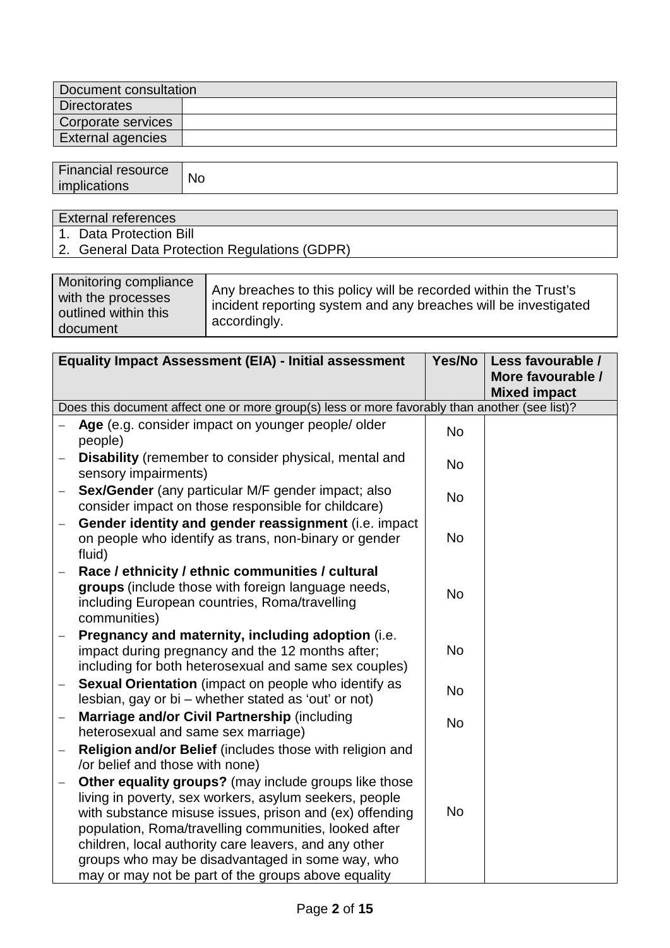| Document consultation |  |  |
|-----------------------|--|--|
| <b>Directorates</b>   |  |  |
| Corporate services    |  |  |
| External agencies     |  |  |
|                       |  |  |

| <b>Financial resource</b><br>. .<br>imr<br>$\sim$ | <b>No</b> |
|---------------------------------------------------|-----------|
|                                                   |           |

External references

- 1. Data Protection Bill
- 2. General Data Protection Regulations (GDPR)

| Monitoring compliance<br>with the processes<br>outlined within this<br>document | Any breaches to this policy will be recorded within the Trust's<br>incident reporting system and any breaches will be investigated<br>accordingly. |
|---------------------------------------------------------------------------------|----------------------------------------------------------------------------------------------------------------------------------------------------|
|---------------------------------------------------------------------------------|----------------------------------------------------------------------------------------------------------------------------------------------------|

|                   | <b>Equality Impact Assessment (EIA) - Initial assessment</b>                                                                                                                                                                                                                                                                                                                                            |           | Less favourable /                        |  |  |
|-------------------|---------------------------------------------------------------------------------------------------------------------------------------------------------------------------------------------------------------------------------------------------------------------------------------------------------------------------------------------------------------------------------------------------------|-----------|------------------------------------------|--|--|
|                   |                                                                                                                                                                                                                                                                                                                                                                                                         |           | More favourable /<br><b>Mixed impact</b> |  |  |
|                   | Does this document affect one or more group(s) less or more favorably than another (see list)?                                                                                                                                                                                                                                                                                                          |           |                                          |  |  |
|                   | Age (e.g. consider impact on younger people/ older<br>people)                                                                                                                                                                                                                                                                                                                                           | <b>No</b> |                                          |  |  |
|                   | Disability (remember to consider physical, mental and<br>sensory impairments)                                                                                                                                                                                                                                                                                                                           | <b>No</b> |                                          |  |  |
| $\qquad \qquad -$ | Sex/Gender (any particular M/F gender impact; also<br>consider impact on those responsible for childcare)                                                                                                                                                                                                                                                                                               | <b>No</b> |                                          |  |  |
| $\qquad \qquad -$ | Gender identity and gender reassignment (i.e. impact<br>on people who identify as trans, non-binary or gender<br>fluid)                                                                                                                                                                                                                                                                                 | <b>No</b> |                                          |  |  |
|                   | Race / ethnicity / ethnic communities / cultural<br>groups (include those with foreign language needs,<br>including European countries, Roma/travelling<br>communities)                                                                                                                                                                                                                                 | <b>No</b> |                                          |  |  |
|                   | Pregnancy and maternity, including adoption (i.e.<br>impact during pregnancy and the 12 months after;<br>including for both heterosexual and same sex couples)                                                                                                                                                                                                                                          | <b>No</b> |                                          |  |  |
|                   | <b>Sexual Orientation</b> (impact on people who identify as<br>lesbian, gay or bi - whether stated as 'out' or not)                                                                                                                                                                                                                                                                                     | <b>No</b> |                                          |  |  |
| $\qquad \qquad -$ | Marriage and/or Civil Partnership (including<br>heterosexual and same sex marriage)                                                                                                                                                                                                                                                                                                                     | <b>No</b> |                                          |  |  |
|                   | Religion and/or Belief (includes those with religion and<br>/or belief and those with none)                                                                                                                                                                                                                                                                                                             |           |                                          |  |  |
|                   | Other equality groups? (may include groups like those<br>living in poverty, sex workers, asylum seekers, people<br>with substance misuse issues, prison and (ex) offending<br>population, Roma/travelling communities, looked after<br>children, local authority care leavers, and any other<br>groups who may be disadvantaged in some way, who<br>may or may not be part of the groups above equality | <b>No</b> |                                          |  |  |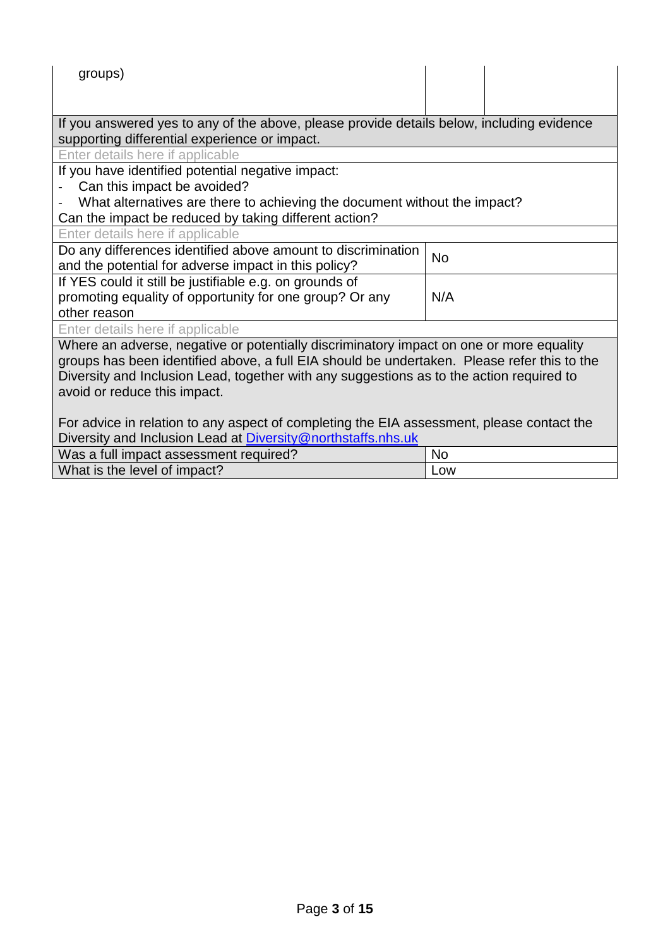| groups)                                                                                                                                                                                                                                                                                                            |           |  |  |
|--------------------------------------------------------------------------------------------------------------------------------------------------------------------------------------------------------------------------------------------------------------------------------------------------------------------|-----------|--|--|
| If you answered yes to any of the above, please provide details below, including evidence<br>supporting differential experience or impact.                                                                                                                                                                         |           |  |  |
| Enter details here if applicable                                                                                                                                                                                                                                                                                   |           |  |  |
| If you have identified potential negative impact:                                                                                                                                                                                                                                                                  |           |  |  |
| Can this impact be avoided?                                                                                                                                                                                                                                                                                        |           |  |  |
| What alternatives are there to achieving the document without the impact?<br>Can the impact be reduced by taking different action?                                                                                                                                                                                 |           |  |  |
| Enter details here if applicable                                                                                                                                                                                                                                                                                   |           |  |  |
| Do any differences identified above amount to discrimination<br>and the potential for adverse impact in this policy?                                                                                                                                                                                               | <b>No</b> |  |  |
| If YES could it still be justifiable e.g. on grounds of                                                                                                                                                                                                                                                            |           |  |  |
| promoting equality of opportunity for one group? Or any                                                                                                                                                                                                                                                            | N/A       |  |  |
| other reason                                                                                                                                                                                                                                                                                                       |           |  |  |
| Enter details here if applicable                                                                                                                                                                                                                                                                                   |           |  |  |
| Where an adverse, negative or potentially discriminatory impact on one or more equality<br>groups has been identified above, a full EIA should be undertaken. Please refer this to the<br>Diversity and Inclusion Lead, together with any suggestions as to the action required to<br>avoid or reduce this impact. |           |  |  |
| For advice in relation to any aspect of completing the EIA assessment, please contact the                                                                                                                                                                                                                          |           |  |  |
| Diversity and Inclusion Lead at Diversity@northstaffs.nhs.uk                                                                                                                                                                                                                                                       |           |  |  |
| Was a full impact assessment required?                                                                                                                                                                                                                                                                             | <b>No</b> |  |  |
| What is the level of impact?                                                                                                                                                                                                                                                                                       | Low       |  |  |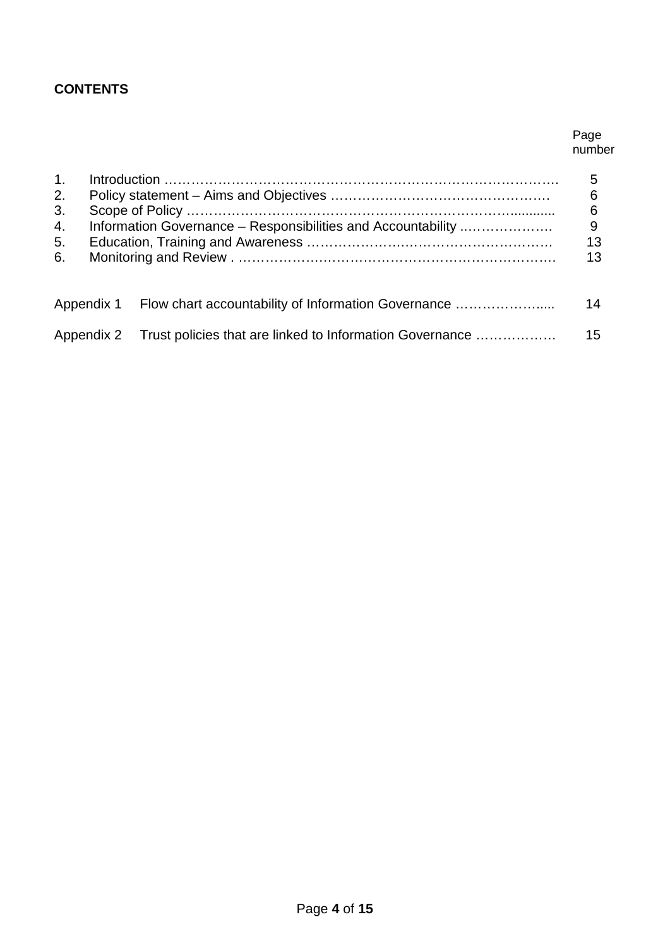# **CONTENTS**

#### Page number

| 1.<br>2.<br>3.<br>4.<br>5.<br>6. | Information Governance – Responsibilities and Accountability |                                                                     | 5<br>6<br>6<br>9<br>13<br>13 |
|----------------------------------|--------------------------------------------------------------|---------------------------------------------------------------------|------------------------------|
|                                  |                                                              | Appendix 1 Flow chart accountability of Information Governance      | 14                           |
|                                  |                                                              | Appendix 2 Trust policies that are linked to Information Governance | 15                           |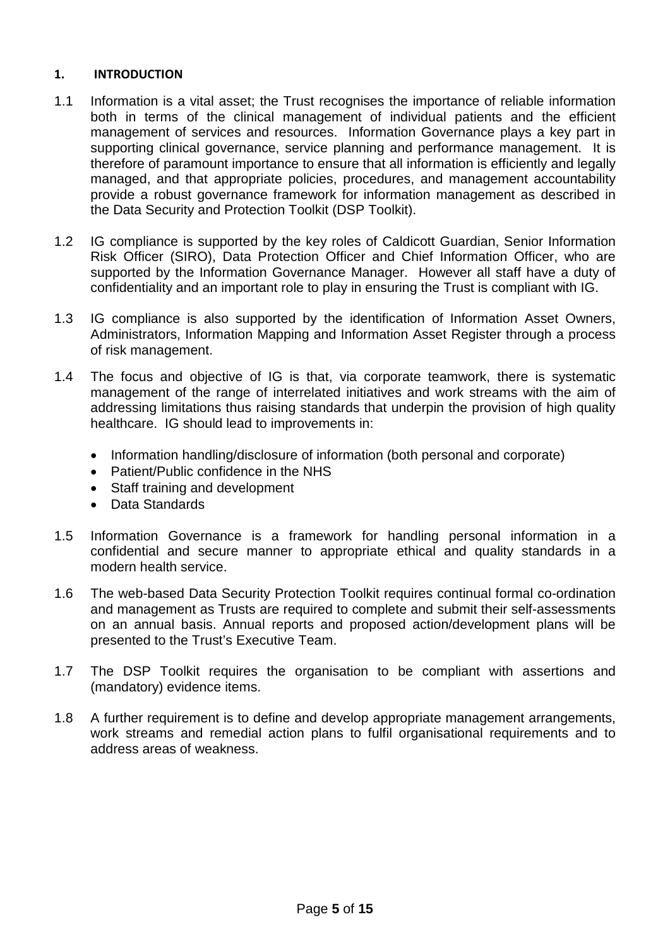#### **1. INTRODUCTION**

- 1.1 Information is a vital asset; the Trust recognises the importance of reliable information both in terms of the clinical management of individual patients and the efficient management of services and resources. Information Governance plays a key part in supporting clinical governance, service planning and performance management. It is therefore of paramount importance to ensure that all information is efficiently and legally managed, and that appropriate policies, procedures, and management accountability provide a robust governance framework for information management as described in the Data Security and Protection Toolkit (DSP Toolkit).
- 1.2 IG compliance is supported by the key roles of Caldicott Guardian, Senior Information Risk Officer (SIRO), Data Protection Officer and Chief Information Officer, who are supported by the Information Governance Manager. However all staff have a duty of confidentiality and an important role to play in ensuring the Trust is compliant with IG.
- 1.3 IG compliance is also supported by the identification of Information Asset Owners, Administrators, Information Mapping and Information Asset Register through a process of risk management.
- 1.4 The focus and objective of IG is that, via corporate teamwork, there is systematic management of the range of interrelated initiatives and work streams with the aim of addressing limitations thus raising standards that underpin the provision of high quality healthcare. IG should lead to improvements in:
	- Information handling/disclosure of information (both personal and corporate)
	- Patient/Public confidence in the NHS
	- Staff training and development
	- Data Standards
- 1.5 Information Governance is a framework for handling personal information in a confidential and secure manner to appropriate ethical and quality standards in a modern health service.
- 1.6 The web-based Data Security Protection Toolkit requires continual formal co-ordination and management as Trusts are required to complete and submit their self-assessments on an annual basis. Annual reports and proposed action/development plans will be presented to the Trust's Executive Team.
- 1.7 The DSP Toolkit requires the organisation to be compliant with assertions and (mandatory) evidence items.
- 1.8 A further requirement is to define and develop appropriate management arrangements, work streams and remedial action plans to fulfil organisational requirements and to address areas of weakness.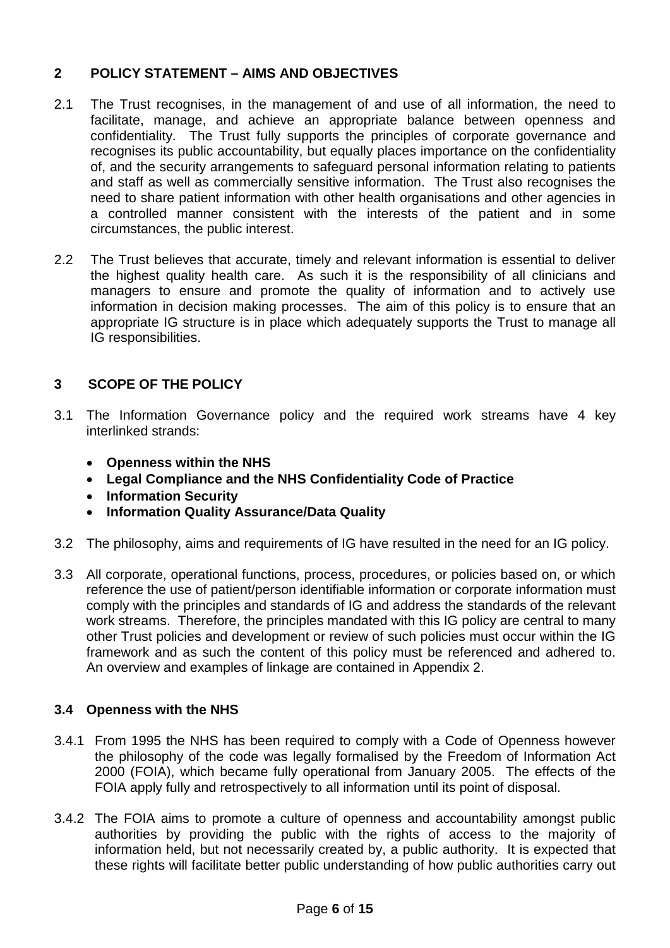# **2 POLICY STATEMENT – AIMS AND OBJECTIVES**

- 2.1 The Trust recognises, in the management of and use of all information, the need to facilitate, manage, and achieve an appropriate balance between openness and confidentiality. The Trust fully supports the principles of corporate governance and recognises its public accountability, but equally places importance on the confidentiality of, and the security arrangements to safeguard personal information relating to patients and staff as well as commercially sensitive information. The Trust also recognises the need to share patient information with other health organisations and other agencies in a controlled manner consistent with the interests of the patient and in some circumstances, the public interest.
- 2.2 The Trust believes that accurate, timely and relevant information is essential to deliver the highest quality health care. As such it is the responsibility of all clinicians and managers to ensure and promote the quality of information and to actively use information in decision making processes. The aim of this policy is to ensure that an appropriate IG structure is in place which adequately supports the Trust to manage all IG responsibilities.

# **3 SCOPE OF THE POLICY**

- 3.1 The Information Governance policy and the required work streams have 4 key interlinked strands:
	- **Openness within the NHS**
	- **Legal Compliance and the NHS Confidentiality Code of Practice**
	- **Information Security**
	- **Information Quality Assurance/Data Quality**
- 3.2 The philosophy, aims and requirements of IG have resulted in the need for an IG policy.
- 3.3 All corporate, operational functions, process, procedures, or policies based on, or which reference the use of patient/person identifiable information or corporate information must comply with the principles and standards of IG and address the standards of the relevant work streams. Therefore, the principles mandated with this IG policy are central to many other Trust policies and development or review of such policies must occur within the IG framework and as such the content of this policy must be referenced and adhered to. An overview and examples of linkage are contained in Appendix 2.

# **3.4 Openness with the NHS**

- 3.4.1 From 1995 the NHS has been required to comply with a Code of Openness however the philosophy of the code was legally formalised by the Freedom of Information Act 2000 (FOIA), which became fully operational from January 2005. The effects of the FOIA apply fully and retrospectively to all information until its point of disposal.
- 3.4.2 The FOIA aims to promote a culture of openness and accountability amongst public authorities by providing the public with the rights of access to the majority of information held, but not necessarily created by, a public authority. It is expected that these rights will facilitate better public understanding of how public authorities carry out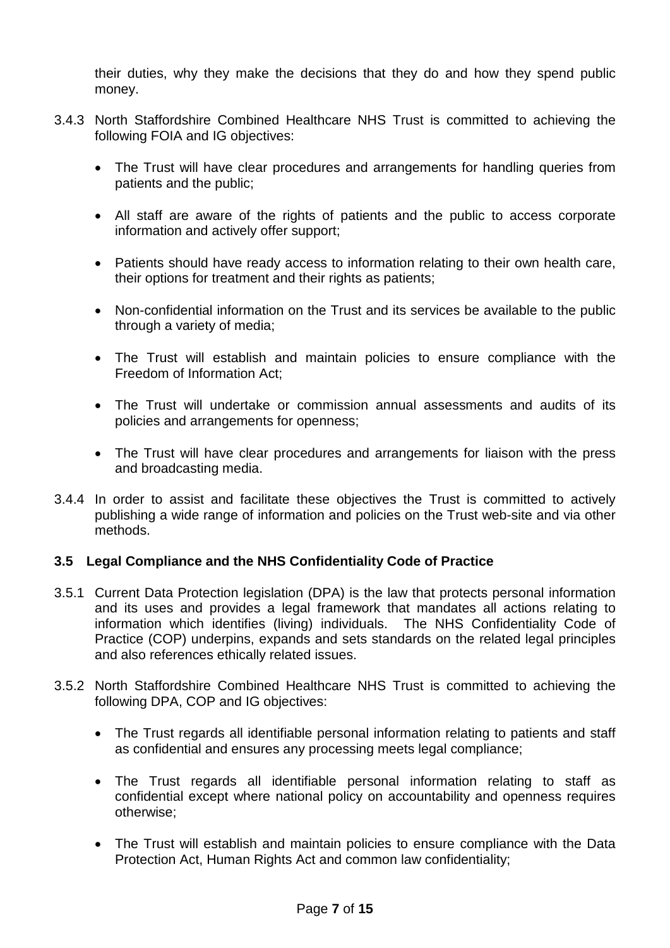their duties, why they make the decisions that they do and how they spend public money.

- 3.4.3 North Staffordshire Combined Healthcare NHS Trust is committed to achieving the following FOIA and IG objectives:
	- The Trust will have clear procedures and arrangements for handling queries from patients and the public;
	- All staff are aware of the rights of patients and the public to access corporate information and actively offer support;
	- Patients should have ready access to information relating to their own health care, their options for treatment and their rights as patients;
	- Non-confidential information on the Trust and its services be available to the public through a variety of media;
	- The Trust will establish and maintain policies to ensure compliance with the Freedom of Information Act;
	- The Trust will undertake or commission annual assessments and audits of its policies and arrangements for openness;
	- The Trust will have clear procedures and arrangements for liaison with the press and broadcasting media.
- 3.4.4 In order to assist and facilitate these objectives the Trust is committed to actively publishing a wide range of information and policies on the Trust web-site and via other methods.

# **3.5 Legal Compliance and the NHS Confidentiality Code of Practice**

- 3.5.1 Current Data Protection legislation (DPA) is the law that protects personal information and its uses and provides a legal framework that mandates all actions relating to information which identifies (living) individuals. The NHS Confidentiality Code of Practice (COP) underpins, expands and sets standards on the related legal principles and also references ethically related issues.
- 3.5.2 North Staffordshire Combined Healthcare NHS Trust is committed to achieving the following DPA, COP and IG objectives:
	- The Trust regards all identifiable personal information relating to patients and staff as confidential and ensures any processing meets legal compliance;
	- The Trust regards all identifiable personal information relating to staff as confidential except where national policy on accountability and openness requires otherwise;
	- The Trust will establish and maintain policies to ensure compliance with the Data Protection Act, Human Rights Act and common law confidentiality;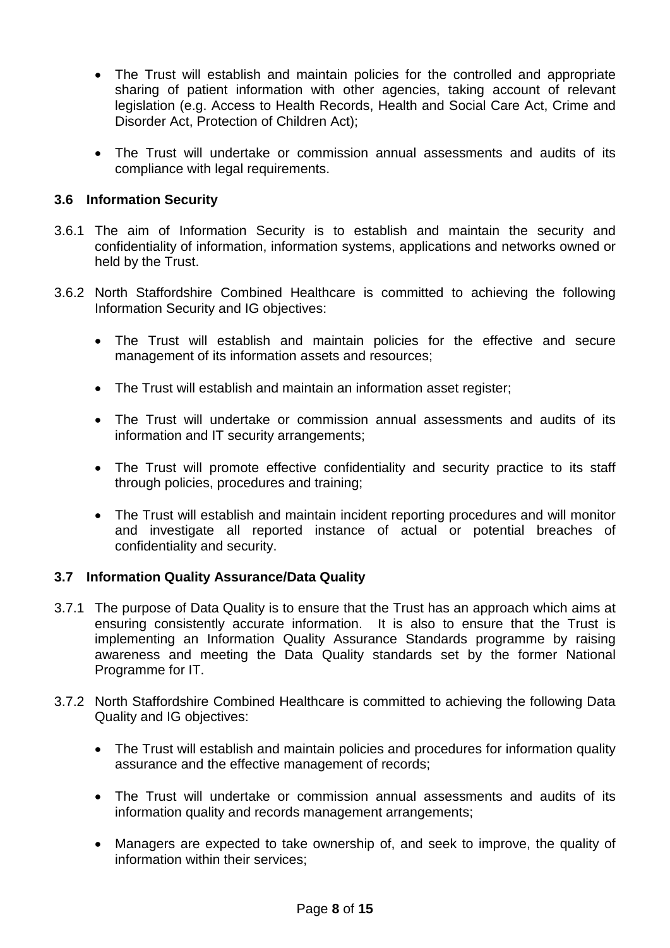- The Trust will establish and maintain policies for the controlled and appropriate sharing of patient information with other agencies, taking account of relevant legislation (e.g. Access to Health Records, Health and Social Care Act, Crime and Disorder Act, Protection of Children Act);
- The Trust will undertake or commission annual assessments and audits of its compliance with legal requirements.

# **3.6 Information Security**

- 3.6.1 The aim of Information Security is to establish and maintain the security and confidentiality of information, information systems, applications and networks owned or held by the Trust.
- 3.6.2 North Staffordshire Combined Healthcare is committed to achieving the following Information Security and IG objectives:
	- The Trust will establish and maintain policies for the effective and secure management of its information assets and resources;
	- The Trust will establish and maintain an information asset register;
	- The Trust will undertake or commission annual assessments and audits of its information and IT security arrangements;
	- The Trust will promote effective confidentiality and security practice to its staff through policies, procedures and training;
	- The Trust will establish and maintain incident reporting procedures and will monitor and investigate all reported instance of actual or potential breaches of confidentiality and security.

## **3.7 Information Quality Assurance/Data Quality**

- 3.7.1 The purpose of Data Quality is to ensure that the Trust has an approach which aims at ensuring consistently accurate information. It is also to ensure that the Trust is implementing an Information Quality Assurance Standards programme by raising awareness and meeting the Data Quality standards set by the former National Programme for IT.
- 3.7.2 North Staffordshire Combined Healthcare is committed to achieving the following Data Quality and IG objectives:
	- The Trust will establish and maintain policies and procedures for information quality assurance and the effective management of records;
	- The Trust will undertake or commission annual assessments and audits of its information quality and records management arrangements;
	- Managers are expected to take ownership of, and seek to improve, the quality of information within their services;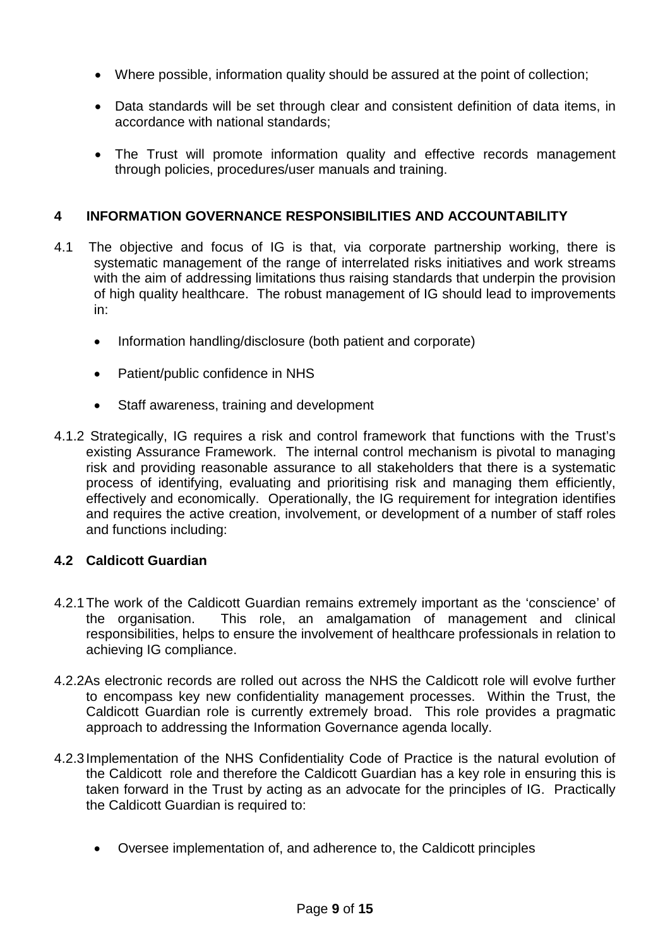- Where possible, information quality should be assured at the point of collection;
- Data standards will be set through clear and consistent definition of data items, in accordance with national standards;
- The Trust will promote information quality and effective records management through policies, procedures/user manuals and training.

# **4 INFORMATION GOVERNANCE RESPONSIBILITIES AND ACCOUNTABILITY**

- 4.1 The objective and focus of IG is that, via corporate partnership working, there is systematic management of the range of interrelated risks initiatives and work streams with the aim of addressing limitations thus raising standards that underpin the provision of high quality healthcare. The robust management of IG should lead to improvements in:
	- Information handling/disclosure (both patient and corporate)
	- Patient/public confidence in NHS
	- Staff awareness, training and development
- 4.1.2 Strategically, IG requires a risk and control framework that functions with the Trust's existing Assurance Framework. The internal control mechanism is pivotal to managing risk and providing reasonable assurance to all stakeholders that there is a systematic process of identifying, evaluating and prioritising risk and managing them efficiently, effectively and economically. Operationally, the IG requirement for integration identifies and requires the active creation, involvement, or development of a number of staff roles and functions including:

## **4.2 Caldicott Guardian**

- 4.2.1The work of the Caldicott Guardian remains extremely important as the 'conscience' of the organisation. This role, an amalgamation of management and clinical responsibilities, helps to ensure the involvement of healthcare professionals in relation to achieving IG compliance.
- 4.2.2As electronic records are rolled out across the NHS the Caldicott role will evolve further to encompass key new confidentiality management processes. Within the Trust, the Caldicott Guardian role is currently extremely broad. This role provides a pragmatic approach to addressing the Information Governance agenda locally.
- 4.2.3Implementation of the NHS Confidentiality Code of Practice is the natural evolution of the Caldicott role and therefore the Caldicott Guardian has a key role in ensuring this is taken forward in the Trust by acting as an advocate for the principles of IG. Practically the Caldicott Guardian is required to:
	- Oversee implementation of, and adherence to, the Caldicott principles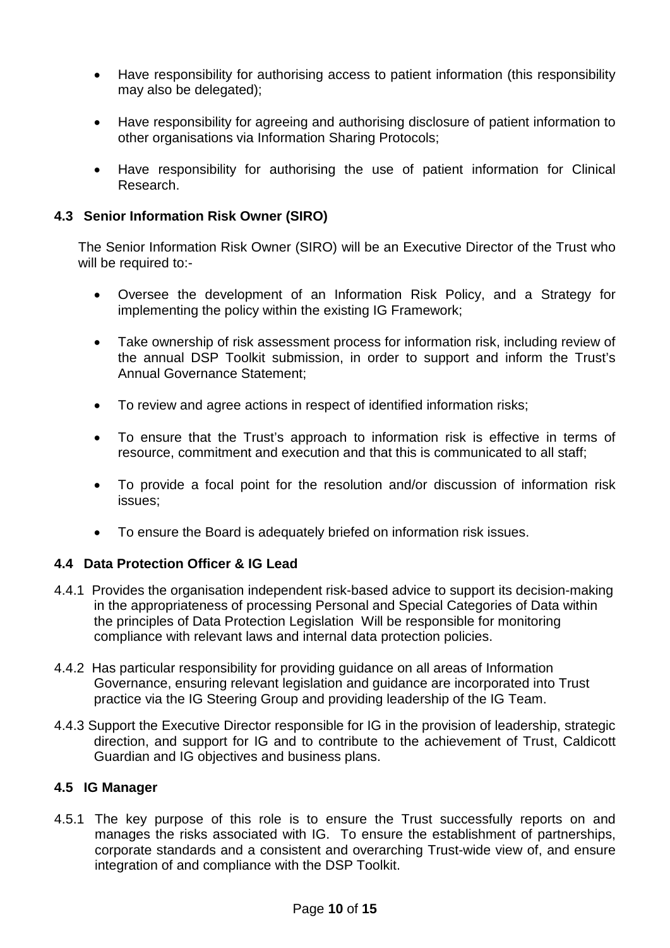- Have responsibility for authorising access to patient information (this responsibility may also be delegated);
- Have responsibility for agreeing and authorising disclosure of patient information to other organisations via Information Sharing Protocols;
- Have responsibility for authorising the use of patient information for Clinical Research.

# **4.3 Senior Information Risk Owner (SIRO)**

The Senior Information Risk Owner (SIRO) will be an Executive Director of the Trust who will be required to:-

- Oversee the development of an Information Risk Policy, and a Strategy for implementing the policy within the existing IG Framework;
- Take ownership of risk assessment process for information risk, including review of the annual DSP Toolkit submission, in order to support and inform the Trust's Annual Governance Statement;
- To review and agree actions in respect of identified information risks;
- To ensure that the Trust's approach to information risk is effective in terms of resource, commitment and execution and that this is communicated to all staff;
- To provide a focal point for the resolution and/or discussion of information risk issues;
- To ensure the Board is adequately briefed on information risk issues.

## **4.4 Data Protection Officer & IG Lead**

- 4.4.1 Provides the organisation independent risk-based advice to support its decision-making in the appropriateness of processing Personal and Special Categories of Data within the principles of Data Protection Legislation Will be responsible for monitoring compliance with relevant laws and internal data protection policies.
- 4.4.2 Has particular responsibility for providing guidance on all areas of Information Governance, ensuring relevant legislation and guidance are incorporated into Trust practice via the IG Steering Group and providing leadership of the IG Team.
- 4.4.3 Support the Executive Director responsible for IG in the provision of leadership, strategic direction, and support for IG and to contribute to the achievement of Trust, Caldicott Guardian and IG objectives and business plans.

## **4.5 IG Manager**

4.5.1 The key purpose of this role is to ensure the Trust successfully reports on and manages the risks associated with IG. To ensure the establishment of partnerships, corporate standards and a consistent and overarching Trust-wide view of, and ensure integration of and compliance with the DSP Toolkit.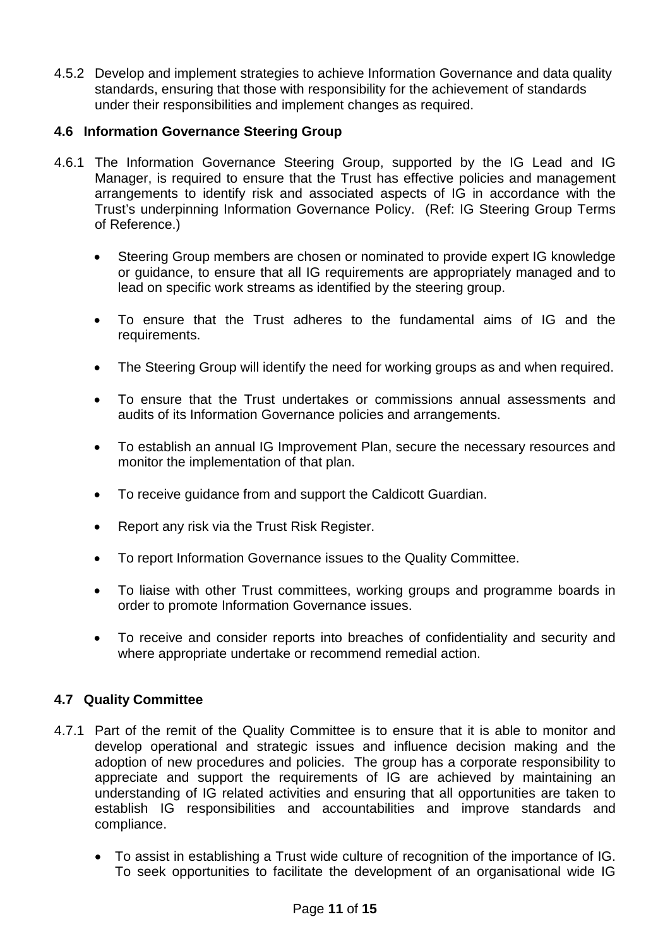4.5.2 Develop and implement strategies to achieve Information Governance and data quality standards, ensuring that those with responsibility for the achievement of standards under their responsibilities and implement changes as required.

# **4.6 Information Governance Steering Group**

- 4.6.1 The Information Governance Steering Group, supported by the IG Lead and IG Manager, is required to ensure that the Trust has effective policies and management arrangements to identify risk and associated aspects of IG in accordance with the Trust's underpinning Information Governance Policy. (Ref: IG Steering Group Terms of Reference.)
	- Steering Group members are chosen or nominated to provide expert IG knowledge or guidance, to ensure that all IG requirements are appropriately managed and to lead on specific work streams as identified by the steering group.
	- To ensure that the Trust adheres to the fundamental aims of IG and the requirements.
	- The Steering Group will identify the need for working groups as and when required.
	- To ensure that the Trust undertakes or commissions annual assessments and audits of its Information Governance policies and arrangements.
	- To establish an annual IG Improvement Plan, secure the necessary resources and monitor the implementation of that plan.
	- To receive guidance from and support the Caldicott Guardian.
	- Report any risk via the Trust Risk Register.
	- To report Information Governance issues to the Quality Committee.
	- To liaise with other Trust committees, working groups and programme boards in order to promote Information Governance issues.
	- To receive and consider reports into breaches of confidentiality and security and where appropriate undertake or recommend remedial action.

## **4.7 Quality Committee**

- 4.7.1 Part of the remit of the Quality Committee is to ensure that it is able to monitor and develop operational and strategic issues and influence decision making and the adoption of new procedures and policies. The group has a corporate responsibility to appreciate and support the requirements of IG are achieved by maintaining an understanding of IG related activities and ensuring that all opportunities are taken to establish IG responsibilities and accountabilities and improve standards and compliance.
	- To assist in establishing a Trust wide culture of recognition of the importance of IG. To seek opportunities to facilitate the development of an organisational wide IG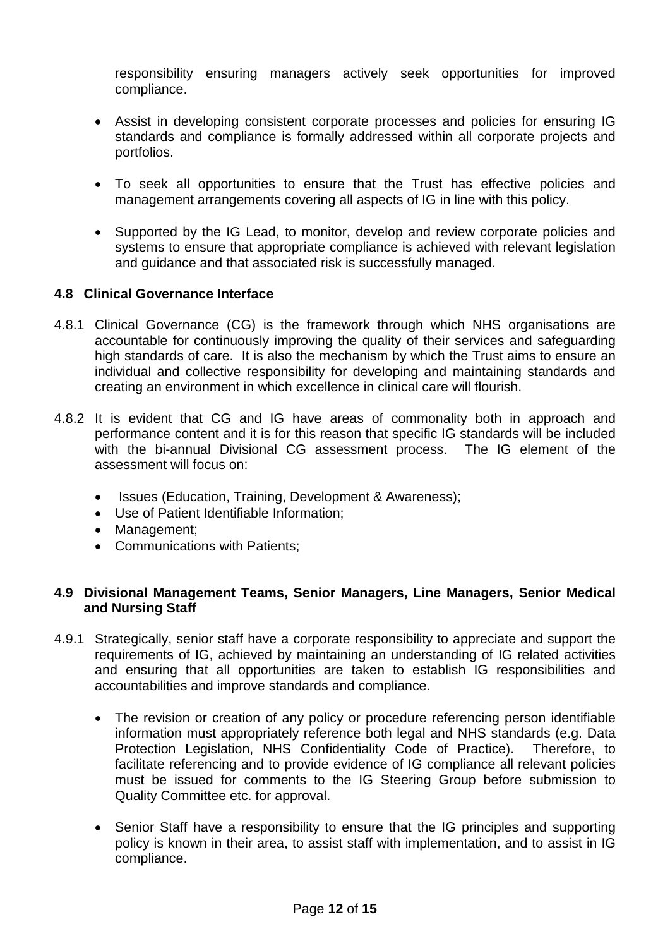responsibility ensuring managers actively seek opportunities for improved compliance.

- Assist in developing consistent corporate processes and policies for ensuring IG standards and compliance is formally addressed within all corporate projects and portfolios.
- To seek all opportunities to ensure that the Trust has effective policies and management arrangements covering all aspects of IG in line with this policy.
- Supported by the IG Lead, to monitor, develop and review corporate policies and systems to ensure that appropriate compliance is achieved with relevant legislation and guidance and that associated risk is successfully managed.

## **4.8 Clinical Governance Interface**

- 4.8.1 Clinical Governance (CG) is the framework through which NHS organisations are accountable for continuously improving the quality of their services and safeguarding high standards of care. It is also the mechanism by which the Trust aims to ensure an individual and collective responsibility for developing and maintaining standards and creating an environment in which excellence in clinical care will flourish.
- 4.8.2 It is evident that CG and IG have areas of commonality both in approach and performance content and it is for this reason that specific IG standards will be included with the bi-annual Divisional CG assessment process. The IG element of the assessment will focus on:
	- Issues (Education, Training, Development & Awareness);
	- Use of Patient Identifiable Information;
	- Management;
	- Communications with Patients;

## **4.9 Divisional Management Teams, Senior Managers, Line Managers, Senior Medical and Nursing Staff**

- 4.9.1 Strategically, senior staff have a corporate responsibility to appreciate and support the requirements of IG, achieved by maintaining an understanding of IG related activities and ensuring that all opportunities are taken to establish IG responsibilities and accountabilities and improve standards and compliance.
	- The revision or creation of any policy or procedure referencing person identifiable information must appropriately reference both legal and NHS standards (e.g. Data Protection Legislation, NHS Confidentiality Code of Practice). Therefore, to facilitate referencing and to provide evidence of IG compliance all relevant policies must be issued for comments to the IG Steering Group before submission to Quality Committee etc. for approval.
	- Senior Staff have a responsibility to ensure that the IG principles and supporting policy is known in their area, to assist staff with implementation, and to assist in IG compliance.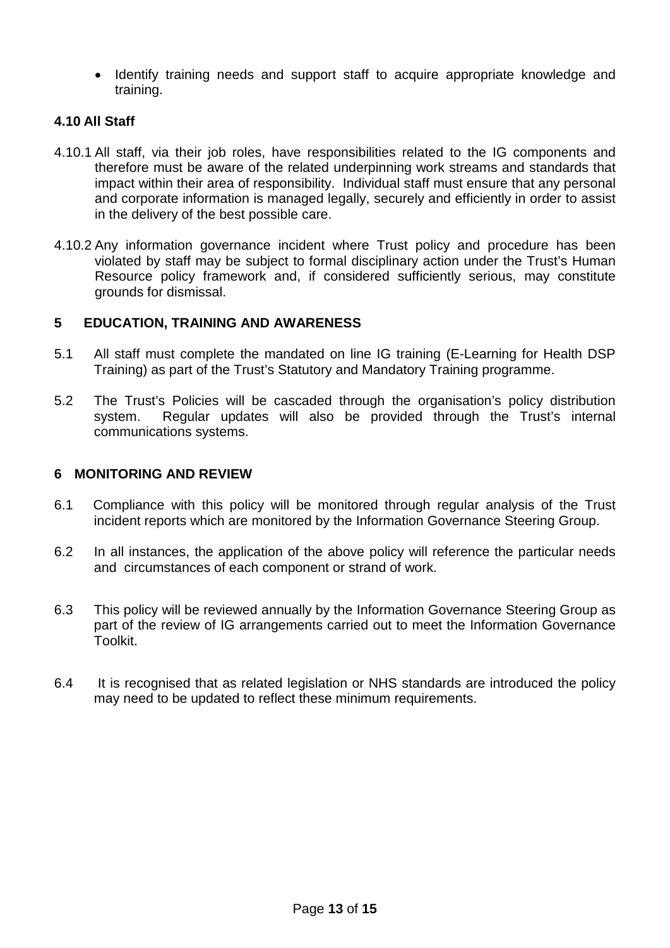• Identify training needs and support staff to acquire appropriate knowledge and training.

## **4.10 All Staff**

- 4.10.1 All staff, via their job roles, have responsibilities related to the IG components and therefore must be aware of the related underpinning work streams and standards that impact within their area of responsibility. Individual staff must ensure that any personal and corporate information is managed legally, securely and efficiently in order to assist in the delivery of the best possible care.
- 4.10.2 Any information governance incident where Trust policy and procedure has been violated by staff may be subject to formal disciplinary action under the Trust's Human Resource policy framework and, if considered sufficiently serious, may constitute grounds for dismissal.

## **5 EDUCATION, TRAINING AND AWARENESS**

- 5.1 All staff must complete the mandated on line IG training (E-Learning for Health DSP Training) as part of the Trust's Statutory and Mandatory Training programme.
- 5.2 The Trust's Policies will be cascaded through the organisation's policy distribution system. Regular updates will also be provided through the Trust's internal communications systems.

# **6 MONITORING AND REVIEW**

- 6.1 Compliance with this policy will be monitored through regular analysis of the Trust incident reports which are monitored by the Information Governance Steering Group.
- 6.2 In all instances, the application of the above policy will reference the particular needs and circumstances of each component or strand of work.
- 6.3 This policy will be reviewed annually by the Information Governance Steering Group as part of the review of IG arrangements carried out to meet the Information Governance Toolkit.
- 6.4 It is recognised that as related legislation or NHS standards are introduced the policy may need to be updated to reflect these minimum requirements.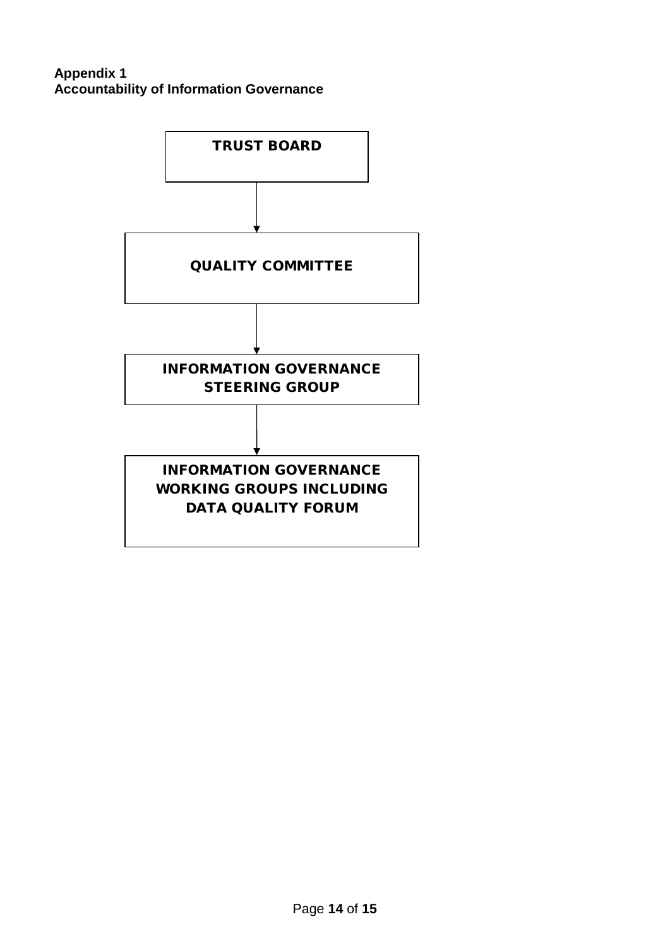# **Appendix 1 Accountability of Information Governance**